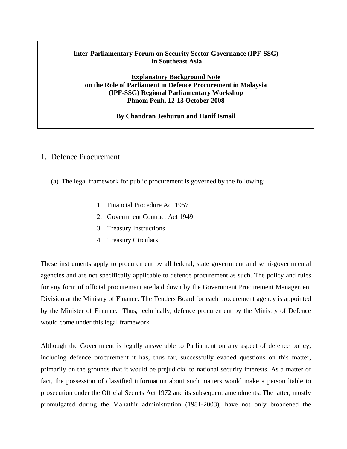## **Inter-Parliamentary Forum on Security Sector Governance (IPF-SSG) in Southeast Asia**

### **Explanatory Background Note on the Role of Parliament in Defence Procurement in Malaysia (IPF-SSG) Regional Parliamentary Workshop Phnom Penh, 12-13 October 2008**

#### **By Chandran Jeshurun and Hanif Ismail**

# 1. Defence Procurement

- (a) The legal framework for public procurement is governed by the following:
	- 1. Financial Procedure Act 1957
	- 2. Government Contract Act 1949
	- 3. Treasury Instructions
	- 4. Treasury Circulars

These instruments apply to procurement by all federal, state government and semi-governmental agencies and are not specifically applicable to defence procurement as such. The policy and rules for any form of official procurement are laid down by the Government Procurement Management Division at the Ministry of Finance. The Tenders Board for each procurement agency is appointed by the Minister of Finance. Thus, technically, defence procurement by the Ministry of Defence would come under this legal framework.

Although the Government is legally answerable to Parliament on any aspect of defence policy, including defence procurement it has, thus far, successfully evaded questions on this matter, primarily on the grounds that it would be prejudicial to national security interests. As a matter of fact, the possession of classified information about such matters would make a person liable to prosecution under the Official Secrets Act 1972 and its subsequent amendments. The latter, mostly promulgated during the Mahathir administration (1981-2003), have not only broadened the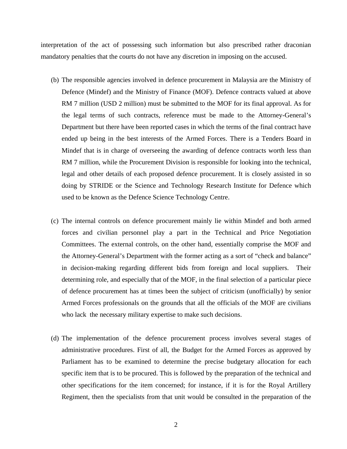interpretation of the act of possessing such information but also prescribed rather draconian mandatory penalties that the courts do not have any discretion in imposing on the accused.

- (b) The responsible agencies involved in defence procurement in Malaysia are the Ministry of Defence (Mindef) and the Ministry of Finance (MOF). Defence contracts valued at above RM 7 million (USD 2 million) must be submitted to the MOF for its final approval. As for the legal terms of such contracts, reference must be made to the Attorney-General's Department but there have been reported cases in which the terms of the final contract have ended up being in the best interests of the Armed Forces. There is a Tenders Board in Mindef that is in charge of overseeing the awarding of defence contracts worth less than RM 7 million, while the Procurement Division is responsible for looking into the technical, legal and other details of each proposed defence procurement. It is closely assisted in so doing by STRIDE or the Science and Technology Research Institute for Defence which used to be known as the Defence Science Technology Centre.
- (c) The internal controls on defence procurement mainly lie within Mindef and both armed forces and civilian personnel play a part in the Technical and Price Negotiation Committees. The external controls, on the other hand, essentially comprise the MOF and the Attorney-General's Department with the former acting as a sort of "check and balance" in decision-making regarding different bids from foreign and local suppliers. Their determining role, and especially that of the MOF, in the final selection of a particular piece of defence procurement has at times been the subject of criticism (unofficially) by senior Armed Forces professionals on the grounds that all the officials of the MOF are civilians who lack the necessary military expertise to make such decisions.
- (d) The implementation of the defence procurement process involves several stages of administrative procedures. First of all, the Budget for the Armed Forces as approved by Parliament has to be examined to determine the precise budgetary allocation for each specific item that is to be procured. This is followed by the preparation of the technical and other specifications for the item concerned; for instance, if it is for the Royal Artillery Regiment, then the specialists from that unit would be consulted in the preparation of the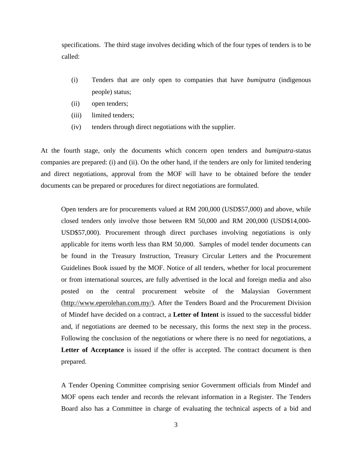specifications. The third stage involves deciding which of the four types of tenders is to be called:

- (i) Tenders that are only open to companies that have *bumiputra* (indigenous people) status;
- (ii) open tenders;
- (iii) limited tenders;
- (iv) tenders through direct negotiations with the supplier.

At the fourth stage, only the documents which concern open tenders and *bumiputra*-status companies are prepared: (i) and (ii). On the other hand, if the tenders are only for limited tendering and direct negotiations, approval from the MOF will have to be obtained before the tender documents can be prepared or procedures for direct negotiations are formulated.

Open tenders are for procurements valued at RM 200,000 (USD\$57,000) and above, while closed tenders only involve those between RM 50,000 and RM 200,000 (USD\$14,000- USD\$57,000). Procurement through direct purchases involving negotiations is only applicable for items worth less than RM 50,000. Samples of model tender documents can be found in the Treasury Instruction, Treasury Circular Letters and the Procurement Guidelines Book issued by the MOF. Notice of all tenders, whether for local procurement or from international sources, are fully advertised in the local and foreign media and also posted on the central procurement website of the Malaysian Government (http://www.eperolehan.com.my/). After the Tenders Board and the Procurement Division of Mindef have decided on a contract, a **Letter of Intent** is issued to the successful bidder and, if negotiations are deemed to be necessary, this forms the next step in the process. Following the conclusion of the negotiations or where there is no need for negotiations, a **Letter of Acceptance** is issued if the offer is accepted. The contract document is then prepared.

A Tender Opening Committee comprising senior Government officials from Mindef and MOF opens each tender and records the relevant information in a Register. The Tenders Board also has a Committee in charge of evaluating the technical aspects of a bid and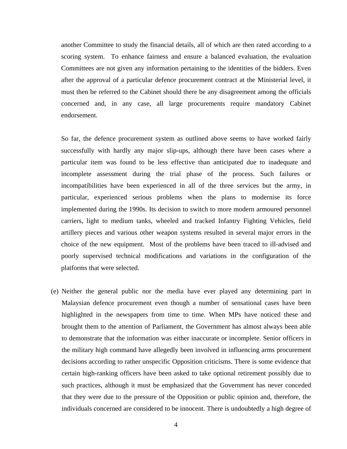another Committee to study the financial details, all of which are then rated according to a scoring system. To enhance fairness and ensure a balanced evaluation, the evaluation Committees are not given any information pertaining to the identities of the bidders. Even after the approval of a particular defence procurement contract at the Ministerial level, it must then be referred to the Cabinet should there be any disagreement among the officials concerned and, in any case, all large procurements require mandatory Cabinet endorsement.

So far, the defence procurement system as outlined above seems to have worked fairly successfully with hardly any major slip-ups, although there have been cases where a particular item was found to be less effective than anticipated due to inadequate and incomplete assessment during the trial phase of the process. Such failures or incompatibilities have been experienced in all of the three services but the army, in particular, experienced serious problems when the plans to modernise its force implemented during the 1990s. Its decision to switch to more modern armoured personnel carriers, light to medium tanks, wheeled and tracked Infantry Fighting Vehicles, field artillery pieces and various other weapon systems resulted in several major errors in the choice of the new equipment. Most of the problems have been traced to ill-advised and poorly supervised technical modifications and variations in the configuration of the platforms that were selected.

(e) Neither the general public nor the media have ever played any determining part in Malaysian defence procurement even though a number of sensational cases have been highlighted in the newspapers from time to time. When MPs have noticed these and brought them to the attention of Parliament, the Government has almost always been able to demonstrate that the information was either inaccurate or incomplete. Senior officers in the military high command have allegedly been involved in influencing arms procurement decisions according to rather unspecific Opposition criticisms. There is some evidence that certain high-ranking officers have been asked to take optional retirement possibly due to such practices, although it must be emphasized that the Government has never conceded that they were due to the pressure of the Opposition or public opinion and, therefore, the individuals concerned are considered to be innocent. There is undoubtedly a high degree of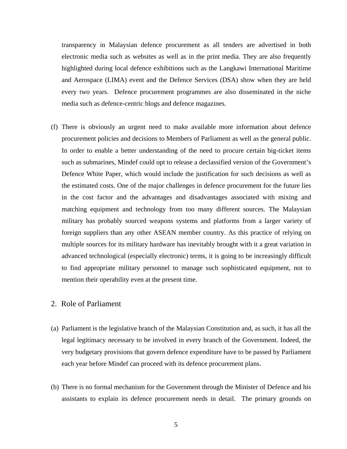transparency in Malaysian defence procurement as all tenders are advertised in both electronic media such as websites as well as in the print media. They are also frequently highlighted during local defence exhibitions such as the Langkawi International Maritime and Aerospace (LIMA) event and the Defence Services (DSA) show when they are held every two years. Defence procurement programmes are also disseminated in the niche media such as defence-centric blogs and defence magazines.

(f) There is obviously an urgent need to make available more information about defence procurement policies and decisions to Members of Parliament as well as the general public. In order to enable a better understanding of the need to procure certain big-ticket items such as submarines, Mindef could opt to release a declassified version of the Government's Defence White Paper, which would include the justification for such decisions as well as the estimated costs. One of the major challenges in defence procurement for the future lies in the cost factor and the advantages and disadvantages associated with mixing and matching equipment and technology from too many different sources. The Malaysian military has probably sourced weapons systems and platforms from a larger variety of foreign suppliers than any other ASEAN member country. As this practice of relying on multiple sources for its military hardware has inevitably brought with it a great variation in advanced technological (especially electronic) terms, it is going to be increasingly difficult to find appropriate military personnel to manage such sophisticated equipment, not to mention their operability even at the present time.

# 2. Role of Parliament

- (a) Parliament is the legislative branch of the Malaysian Constitution and, as such, it has all the legal legitimacy necessary to be involved in every branch of the Government. Indeed, the very budgetary provisions that govern defence expenditure have to be passed by Parliament each year before Mindef can proceed with its defence procurement plans.
- (b) There is no formal mechanism for the Government through the Minister of Defence and his assistants to explain its defence procurement needs in detail. The primary grounds on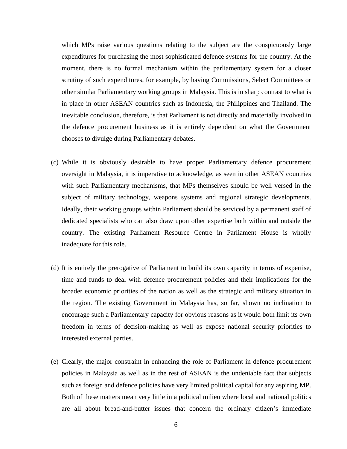which MPs raise various questions relating to the subject are the conspicuously large expenditures for purchasing the most sophisticated defence systems for the country. At the moment, there is no formal mechanism within the parliamentary system for a closer scrutiny of such expenditures, for example, by having Commissions, Select Committees or other similar Parliamentary working groups in Malaysia. This is in sharp contrast to what is in place in other ASEAN countries such as Indonesia, the Philippines and Thailand. The inevitable conclusion, therefore, is that Parliament is not directly and materially involved in the defence procurement business as it is entirely dependent on what the Government chooses to divulge during Parliamentary debates.

- (c) While it is obviously desirable to have proper Parliamentary defence procurement oversight in Malaysia, it is imperative to acknowledge, as seen in other ASEAN countries with such Parliamentary mechanisms, that MPs themselves should be well versed in the subject of military technology, weapons systems and regional strategic developments. Ideally, their working groups within Parliament should be serviced by a permanent staff of dedicated specialists who can also draw upon other expertise both within and outside the country. The existing Parliament Resource Centre in Parliament House is wholly inadequate for this role.
- (d) It is entirely the prerogative of Parliament to build its own capacity in terms of expertise, time and funds to deal with defence procurement policies and their implications for the broader economic priorities of the nation as well as the strategic and military situation in the region. The existing Government in Malaysia has, so far, shown no inclination to encourage such a Parliamentary capacity for obvious reasons as it would both limit its own freedom in terms of decision-making as well as expose national security priorities to interested external parties.
- (e) Clearly, the major constraint in enhancing the role of Parliament in defence procurement policies in Malaysia as well as in the rest of ASEAN is the undeniable fact that subjects such as foreign and defence policies have very limited political capital for any aspiring MP. Both of these matters mean very little in a political milieu where local and national politics are all about bread-and-butter issues that concern the ordinary citizen's immediate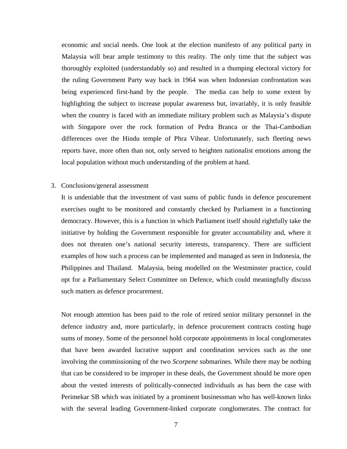economic and social needs. One look at the election manifesto of any political party in Malaysia will bear ample testimony to this reality. The only time that the subject was thoroughly exploited (understandably so) and resulted in a thumping electoral victory for the ruling Government Party way back in 1964 was when Indonesian confrontation was being experienced first-hand by the people. The media can help to some extent by highlighting the subject to increase popular awareness but, invariably, it is only feasible when the country is faced with an immediate military problem such as Malaysia's dispute with Singapore over the rock formation of Pedra Branca or the Thai-Cambodian differences over the Hindu temple of Phra Vihear. Unfortunately, such fleeting news reports have, more often than not, only served to heighten nationalist emotions among the local population without much understanding of the problem at hand.

#### 3. Conclusions/general assessment

It is undeniable that the investment of vast sums of public funds in defence procurement exercises ought to be monitored and constantly checked by Parliament in a functioning democracy. However, this is a function in which Parliament itself should rightfully take the initiative by holding the Government responsible for greater accountability and, where it does not threaten one's national security interests, transparency. There are sufficient examples of how such a process can be implemented and managed as seen in Indonesia, the Philippines and Thailand. Malaysia, being modelled on the Westminster practice, could opt for a Parliamentary Select Committee on Defence, which could meaningfully discuss such matters as defence procurement.

Not enough attention has been paid to the role of retired senior military personnel in the defence industry and, more particularly, in defence procurement contracts costing huge sums of money. Some of the personnel hold corporate appointments in local conglomerates that have been awarded lucrative support and coordination services such as the one involving the commissioning of the two *Scorpene* submarines. While there may be nothing that can be considered to be improper in these deals, the Government should be more open about the vested interests of politically-connected individuals as has been the case with Perimekar SB which was initiated by a prominent businessman who has well-known links with the several leading Government-linked corporate conglomerates. The contract for